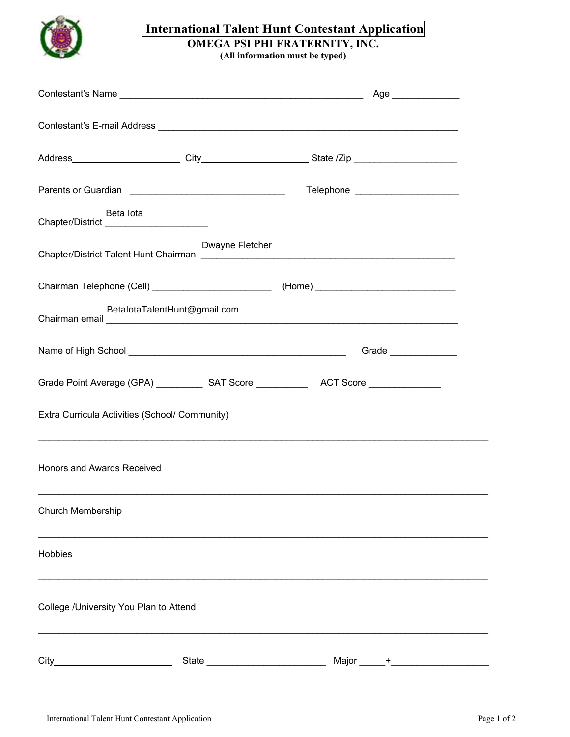

## **International Talent Hunt Contestant Application**

**OMEGA PSI PHI FRATERNITY, INC.** 

**(All information must be typed)**

|                                                                                                                                                | Telephone _______________________ |
|------------------------------------------------------------------------------------------------------------------------------------------------|-----------------------------------|
| Beta lota                                                                                                                                      |                                   |
| Dwayne Fletcher                                                                                                                                |                                   |
| Chairman Telephone (Cell) ___________________________(Home) _____________________                                                              |                                   |
| BetalotaTalentHunt@gmail.com<br>Chairman email entrepreneur and a statement of the contract of the contract of the contract of the contract of |                                   |
|                                                                                                                                                |                                   |
|                                                                                                                                                |                                   |
| Extra Curricula Activities (School/ Community)<br>,我们也不能在这里的人,我们也不能在这里的人,我们也不能在这里的人,我们也不能在这里的人,我们也不能在这里的人,我们也不能在这里的人,我们也不能在这里的人,我们也            |                                   |
| <b>Honors and Awards Received</b>                                                                                                              |                                   |
| Church Membership                                                                                                                              |                                   |
| Hobbies                                                                                                                                        |                                   |
| College /University You Plan to Attend                                                                                                         |                                   |
|                                                                                                                                                |                                   |